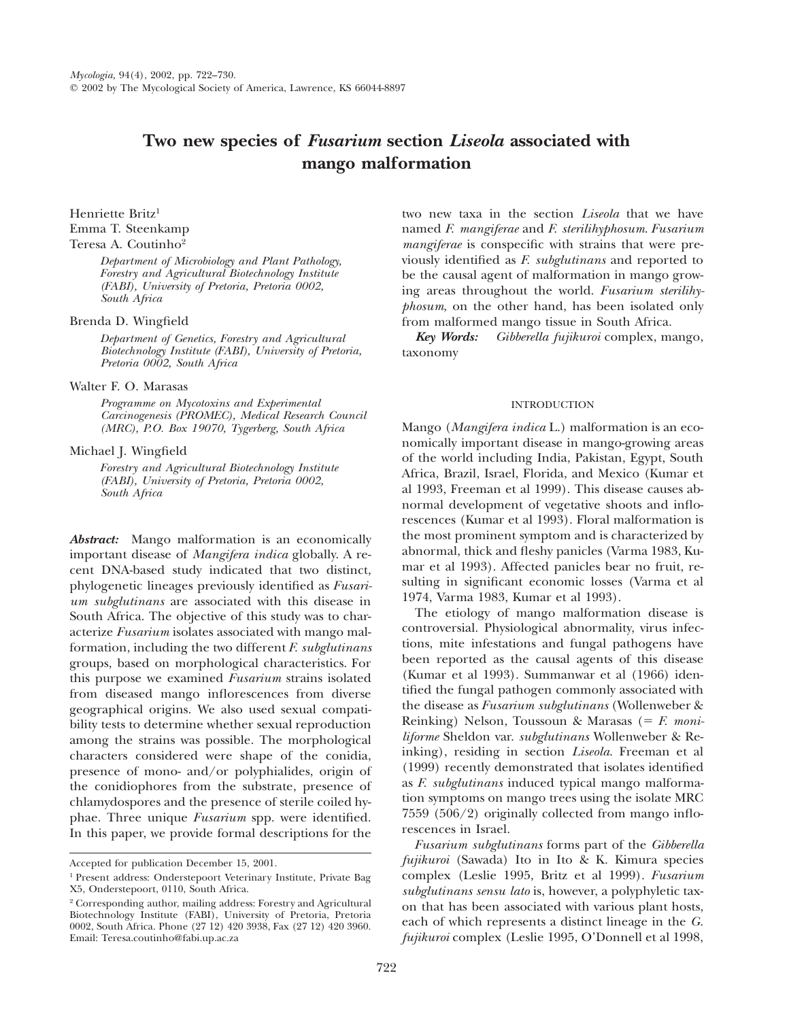# **Two new species of** *Fusarium* **section** *Liseola* **associated with mango malformation**

Henriette Britz<sup>1</sup> Emma T. Steenkamp

## Teresa A. Coutinho2

*Department of Microbiology and Plant Pathology, Forestry and Agricultural Biotechnology Institute (FABI), University of Pretoria, Pretoria 0002, South Africa*

## Brenda D. Wingfield

*Department of Genetics, Forestry and Agricultural Biotechnology Institute (FABI), University of Pretoria, Pretoria 0002, South Africa*

## Walter F. O. Marasas

*Programme on Mycotoxins and Experimental Carcinogenesis (PROMEC), Medical Research Council (MRC), P.O. Box 19070, Tygerberg, South Africa*

## Michael J. Wingfield

*Forestry and Agricultural Biotechnology Institute (FABI), University of Pretoria, Pretoria 0002, South Africa*

*Abstract:* Mango malformation is an economically important disease of *Mangifera indica* globally. A recent DNA-based study indicated that two distinct, phylogenetic lineages previously identified as *Fusarium subglutinans* are associated with this disease in South Africa. The objective of this study was to characterize *Fusarium* isolates associated with mango malformation, including the two different *F. subglutinans* groups, based on morphological characteristics. For this purpose we examined *Fusarium* strains isolated from diseased mango inflorescences from diverse geographical origins. We also used sexual compatibility tests to determine whether sexual reproduction among the strains was possible. The morphological characters considered were shape of the conidia, presence of mono- and/or polyphialides, origin of the conidiophores from the substrate, presence of chlamydospores and the presence of sterile coiled hyphae. Three unique *Fusarium* spp. were identified. In this paper, we provide formal descriptions for the

two new taxa in the section *Liseola* that we have named *F. mangiferae* and *F. sterilihyphosum*. *Fusarium mangiferae* is conspecific with strains that were previously identified as *F. subglutinans* and reported to be the causal agent of malformation in mango growing areas throughout the world. *Fusarium sterilihyphosum*, on the other hand, has been isolated only from malformed mango tissue in South Africa.

*Key Words: Gibberella fujikuroi* complex, mango, taxonomy

## INTRODUCTION

Mango (*Mangifera indica* L.) malformation is an economically important disease in mango-growing areas of the world including India, Pakistan, Egypt, South Africa, Brazil, Israel, Florida, and Mexico (Kumar et al 1993, Freeman et al 1999). This disease causes abnormal development of vegetative shoots and inflorescences (Kumar et al 1993). Floral malformation is the most prominent symptom and is characterized by abnormal, thick and fleshy panicles (Varma 1983, Kumar et al 1993). Affected panicles bear no fruit, resulting in significant economic losses (Varma et al 1974, Varma 1983, Kumar et al 1993).

The etiology of mango malformation disease is controversial. Physiological abnormality, virus infections, mite infestations and fungal pathogens have been reported as the causal agents of this disease (Kumar et al 1993). Summanwar et al (1966) identified the fungal pathogen commonly associated with the disease as *Fusarium subglutinans* (Wollenweber & Reinking) Nelson, Toussoun & Marasas (5 *F. moniliforme* Sheldon var. *subglutinans* Wollenweber & Reinking), residing in section *Liseola*. Freeman et al (1999) recently demonstrated that isolates identified as *F. subglutinans* induced typical mango malformation symptoms on mango trees using the isolate MRC 7559 (506/2) originally collected from mango inflorescences in Israel.

*Fusarium subglutinans* forms part of the *Gibberella fujikuroi* (Sawada) Ito in Ito & K. Kimura species complex (Leslie 1995, Britz et al 1999). *Fusarium subglutinans sensu lato* is, however, a polyphyletic taxon that has been associated with various plant hosts, each of which represents a distinct lineage in the *G. fujikuroi* complex (Leslie 1995, O'Donnell et al 1998,

Accepted for publication December 15, 2001.

<sup>1</sup> Present address: Onderstepoort Veterinary Institute, Private Bag X5, Onderstepoort, 0110, South Africa.

<sup>2</sup> Corresponding author, mailing address: Forestry and Agricultural Biotechnology Institute (FABI), University of Pretoria, Pretoria 0002, South Africa. Phone (27 12) 420 3938, Fax (27 12) 420 3960. Email: Teresa.coutinho@fabi.up.ac.za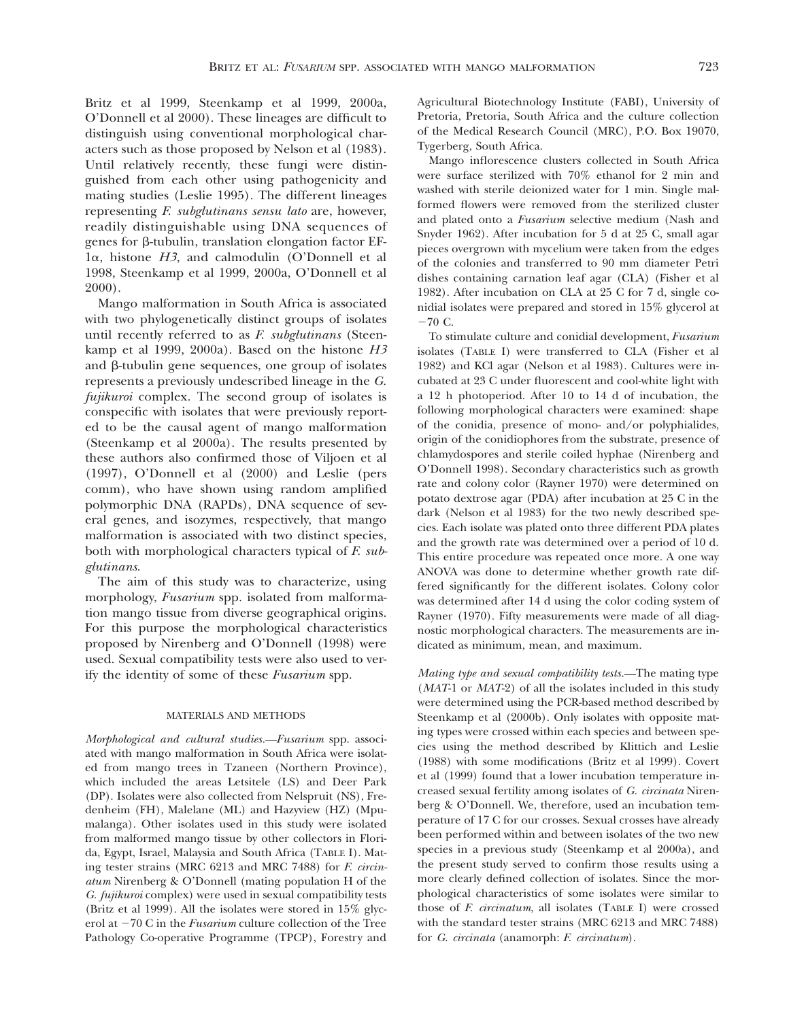Britz et al 1999, Steenkamp et al 1999, 2000a, O'Donnell et al 2000). These lineages are difficult to distinguish using conventional morphological characters such as those proposed by Nelson et al (1983). Until relatively recently, these fungi were distinguished from each other using pathogenicity and mating studies (Leslie 1995). The different lineages representing *F. subglutinans sensu lato* are, however, readily distinguishable using DNA sequences of genes for  $\beta$ -tubulin, translation elongation factor EF-1a, histone *H3,* and calmodulin (O'Donnell et al 1998, Steenkamp et al 1999, 2000a, O'Donnell et al 2000).

Mango malformation in South Africa is associated with two phylogenetically distinct groups of isolates until recently referred to as *F. subglutinans* (Steenkamp et al 1999, 2000a). Based on the histone *H3* and  $\beta$ -tubulin gene sequences, one group of isolates represents a previously undescribed lineage in the *G. fujikuroi* complex. The second group of isolates is conspecific with isolates that were previously reported to be the causal agent of mango malformation (Steenkamp et al 2000a). The results presented by these authors also confirmed those of Viljoen et al (1997), O'Donnell et al (2000) and Leslie (pers comm), who have shown using random amplified polymorphic DNA (RAPDs), DNA sequence of several genes, and isozymes, respectively, that mango malformation is associated with two distinct species, both with morphological characters typical of *F. subglutinans*.

The aim of this study was to characterize, using morphology, *Fusarium* spp. isolated from malformation mango tissue from diverse geographical origins. For this purpose the morphological characteristics proposed by Nirenberg and O'Donnell (1998) were used. Sexual compatibility tests were also used to verify the identity of some of these *Fusarium* spp.

#### MATERIALS AND METHODS

*Morphological and cultural studies. Fusarium* spp. associated with mango malformation in South Africa were isolated from mango trees in Tzaneen (Northern Province), which included the areas Letsitele (LS) and Deer Park (DP). Isolates were also collected from Nelspruit (NS), Fredenheim (FH), Malelane (ML) and Hazyview (HZ) (Mpumalanga). Other isolates used in this study were isolated from malformed mango tissue by other collectors in Florida, Egypt, Israel, Malaysia and South Africa (TABLE I). Mating tester strains (MRC 6213 and MRC 7488) for *F. circinatum* Nirenberg & O'Donnell (mating population H of the *G. fujikuroi* complex) were used in sexual compatibility tests (Britz et al 1999). All the isolates were stored in 15% glycerol at  $-70$  C in the *Fusarium* culture collection of the Tree Pathology Co-operative Programme (TPCP), Forestry and Agricultural Biotechnology Institute (FABI), University of Pretoria, Pretoria, South Africa and the culture collection of the Medical Research Council (MRC), P.O. Box 19070, Tygerberg, South Africa.

Mango inflorescence clusters collected in South Africa were surface sterilized with 70% ethanol for 2 min and washed with sterile deionized water for 1 min. Single malformed flowers were removed from the sterilized cluster and plated onto a *Fusarium* selective medium (Nash and Snyder 1962). After incubation for 5 d at 25 C, small agar pieces overgrown with mycelium were taken from the edges of the colonies and transferred to 90 mm diameter Petri dishes containing carnation leaf agar (CLA) (Fisher et al 1982). After incubation on CLA at 25 C for 7 d, single conidial isolates were prepared and stored in 15% glycerol at  $-70 \text{ C}$ .

To stimulate culture and conidial development, *Fusarium* isolates (TABLE I) were transferred to CLA (Fisher et al 1982) and KCl agar (Nelson et al 1983). Cultures were incubated at 23 C under fluorescent and cool-white light with a 12 h photoperiod. After 10 to 14 d of incubation, the following morphological characters were examined: shape of the conidia, presence of mono- and/or polyphialides, origin of the conidiophores from the substrate, presence of chlamydospores and sterile coiled hyphae (Nirenberg and O'Donnell 1998). Secondary characteristics such as growth rate and colony color (Rayner 1970) were determined on potato dextrose agar (PDA) after incubation at 25 C in the dark (Nelson et al 1983) for the two newly described species. Each isolate was plated onto three different PDA plates and the growth rate was determined over a period of 10 d. This entire procedure was repeated once more. A one way ANOVA was done to determine whether growth rate differed significantly for the different isolates. Colony color was determined after 14 d using the color coding system of Rayner (1970). Fifty measurements were made of all diagnostic morphological characters. The measurements are indicated as minimum, mean, and maximum.

*Mating type and sexual compatibility tests.* The mating type (*MAT*-1 or *MAT*-2) of all the isolates included in this study were determined using the PCR-based method described by Steenkamp et al (2000b). Only isolates with opposite mating types were crossed within each species and between species using the method described by Klittich and Leslie (1988) with some modifications (Britz et al 1999). Covert et al (1999) found that a lower incubation temperature increased sexual fertility among isolates of *G. circinata* Nirenberg & O'Donnell. We, therefore, used an incubation temperature of 17 C for our crosses. Sexual crosses have already been performed within and between isolates of the two new species in a previous study (Steenkamp et al 2000a), and the present study served to confirm those results using a more clearly defined collection of isolates. Since the morphological characteristics of some isolates were similar to those of *F. circinatum*, all isolates (TABLE I) were crossed with the standard tester strains (MRC 6213 and MRC 7488) for *G. circinata* (anamorph: *F. circinatum*).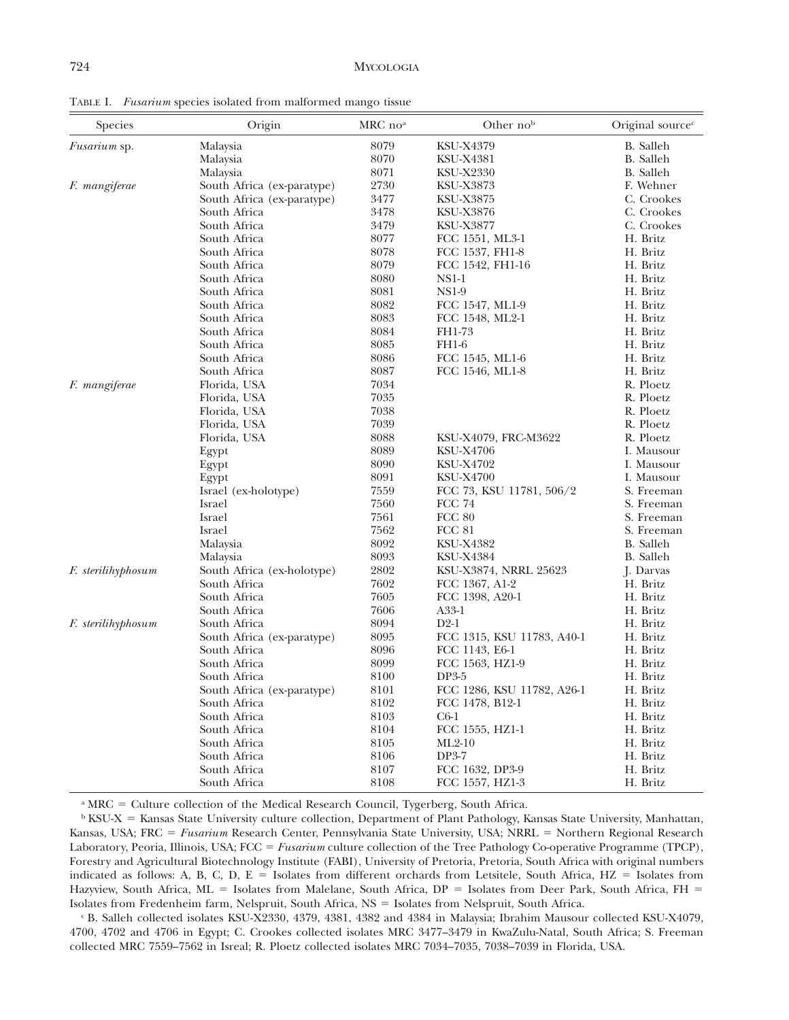TABLE I. *Fusarium* species isolated from malformed mango tissue

| Species            | Origin                     | MRC no <sup>a</sup> | Other nob                  | Original source <sup>c</sup> |
|--------------------|----------------------------|---------------------|----------------------------|------------------------------|
| Fusarium sp.       | Malaysia                   | 8079                | <b>KSU-X4379</b>           | B. Salleh                    |
|                    | Malaysia                   | 8070                | <b>KSU-X4381</b>           | B. Salleh                    |
|                    | Malaysia                   | 8071                | <b>KSU-X2330</b>           | B. Salleh                    |
| F. mangiferae      | South Africa (ex-paratype) | 2730                | <b>KSU-X3873</b>           | F. Wehner                    |
|                    | South Africa (ex-paratype) | 3477                | <b>KSU-X3875</b>           | C. Crookes                   |
|                    | South Africa               | 3478                | <b>KSU-X3876</b>           | C. Crookes                   |
|                    | South Africa               | 3479                | <b>KSU-X3877</b>           | C. Crookes                   |
|                    | South Africa               | 8077                | FCC 1551, ML3-1            | H. Britz                     |
|                    | South Africa               | 8078                | FCC 1537, FH1-8            | H. Britz                     |
|                    | South Africa               | 8079                | FCC 1542, FH1-16           | H. Britz                     |
|                    | South Africa               | 8080                | $NS1-1$                    | H. Britz                     |
|                    | South Africa               | 8081                | <b>NS1-9</b>               | H. Britz                     |
|                    | South Africa               | 8082                | FCC 1547, ML1-9            | H. Britz                     |
|                    | South Africa               | 8083                | FCC 1548, ML2-1            | H. Britz                     |
|                    | South Africa               | 8084                | FH1-73                     | H. Britz                     |
|                    | South Africa               | 8085                | <b>FH1-6</b>               | H. Britz                     |
|                    | South Africa               | 8086                | FCC 1545, ML1-6            | H. Britz                     |
|                    | South Africa               | 8087                | FCC 1546, ML1-8            | H. Britz                     |
| F. mangiferae      | Florida, USA               | 7034                |                            | R. Ploetz                    |
|                    | Florida, USA               | 7035                |                            | R. Ploetz                    |
|                    | Florida, USA               | 7038                |                            | R. Ploetz                    |
|                    | Florida, USA               | 7039                |                            | R. Ploetz                    |
|                    | Florida, USA               | 8088                | KSU-X4079, FRC-M3622       | R. Ploetz                    |
|                    | Egypt                      | 8089                | <b>KSU-X4706</b>           | I. Mausour                   |
|                    | Egypt                      | 8090                | <b>KSU-X4702</b>           | I. Mausour                   |
|                    | Egypt                      | 8091                | <b>KSU-X4700</b>           | I. Mausour                   |
|                    | Israel (ex-holotype)       | 7559                | FCC 73, KSU 11781, 506/2   | S. Freeman                   |
|                    | Israel                     | 7560                | <b>FCC 74</b>              | S. Freeman                   |
|                    | Israel                     | 7561                | <b>FCC 80</b>              | S. Freeman                   |
|                    | Israel                     | 7562                | <b>FCC 81</b>              | S. Freeman                   |
|                    | Malaysia                   | 8092                | <b>KSU-X4382</b>           | <b>B.</b> Salleh             |
|                    | Malaysia                   | 8093                | <b>KSU-X4384</b>           | <b>B.</b> Salleh             |
| F. sterilihyphosum | South Africa (ex-holotype) | 2802                | KSU-X3874, NRRL 25623      | J. Darvas                    |
|                    | South Africa               | 7602                | FCC 1367, A1-2             | H. Britz                     |
|                    | South Africa               | 7605                | FCC 1398, A20-1            | H. Britz                     |
|                    | South Africa               | 7606                | A33-1                      | H. Britz                     |
| F. sterilihyphosum | South Africa               | 8094                | $D2-1$                     | H. Britz                     |
|                    | South Africa (ex-paratype) | 8095                | FCC 1315, KSU 11783, A40-1 | H. Britz                     |
|                    | South Africa               | 8096                | FCC 1143, E6-1             | H. Britz                     |
|                    | South Africa               | 8099                | FCC 1563, HZ1-9            | H. Britz                     |
|                    | South Africa               | 8100                | DP3-5                      | H. Britz                     |
|                    | South Africa (ex-paratype) | $8101\,$            | FCC 1286, KSU 11782, A26-1 | H. Britz                     |
|                    | South Africa               | 8102                | FCC 1478, B12-1            | H. Britz                     |
|                    | South Africa               | 8103                | $C6-1$                     | H. Britz                     |
|                    | South Africa               | 8104                | FCC 1555, HZ1-1            | H. Britz                     |
|                    | South Africa               | 8105                | $ML2-10$                   | H. Britz                     |
|                    | South Africa               | 8106                | DP3-7                      | H. Britz                     |
|                    | South Africa               | 8107                | FCC 1632, DP3-9            | H. Britz                     |
|                    | South Africa               | 8108                | FCC 1557, HZ1-3            | H. Britz                     |

<sup>a</sup> MRC = Culture collection of the Medical Research Council, Tygerberg, South Africa.

 $\rm ^b$  KSU-X = Kansas State University culture collection, Department of Plant Pathology, Kansas State University, Manhattan, Kansas, USA; FRC = *Fusarium* Research Center, Pennsylvania State University, USA; NRRL = Northern Regional Research Laboratory, Peoria, Illinois, USA; FCC = *Fusarium* culture collection of the Tree Pathology Co-operative Programme (TPCP), Forestry and Agricultural Biotechnology Institute (FABI), University of Pretoria, Pretoria, South Africa with original numbers indicated as follows: A, B, C, D, E = Isolates from different orchards from Letsitele, South Africa, HZ = Isolates from Hazyview, South Africa, ML = Isolates from Malelane, South Africa,  $DP =$  Isolates from Deer Park, South Africa, FH = Isolates from Fredenheim farm, Nelspruit, South Africa, NS = Isolates from Nelspruit, South Africa.

<sup>c</sup> B. Salleh collected isolates KSU-X2330, 4379, 4381, 4382 and 4384 in Malaysia; Ibrahim Mausour collected KSU-X4079, 4700, 4702 and 4706 in Egypt; C. Crookes collected isolates MRC 3477–3479 in KwaZulu-Natal, South Africa; S. Freeman collected MRC 7559–7562 in Isreal; R. Ploetz collected isolates MRC 7034–7035, 7038–7039 in Florida, USA.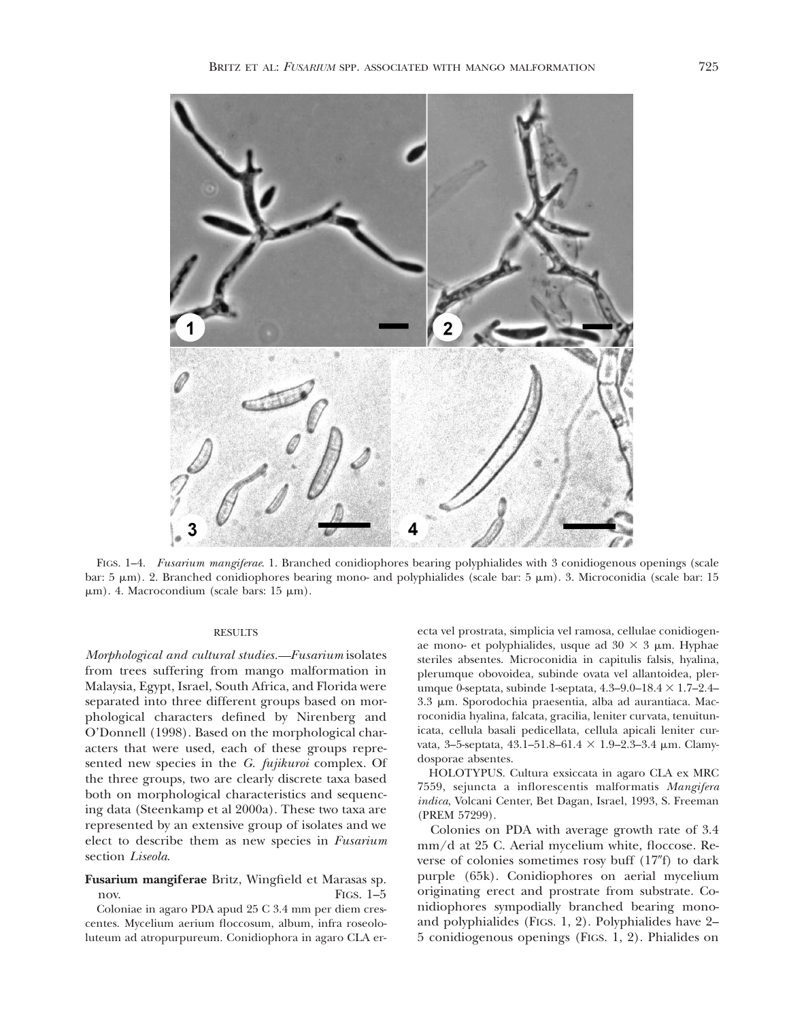

FIGS. 1–4. *Fusarium mangiferae*. 1. Branched conidiophores bearing polyphialides with 3 conidiogenous openings (scale bar:  $5 \mu m$ ). 2. Branched conidiophores bearing mono- and polyphialides (scale bar:  $5 \mu m$ ). 3. Microconidia (scale bar: 15  $\mu$ m). 4. Macrocondium (scale bars: 15  $\mu$ m).

### RESULTS

*Morphological and cultural studies. Fusarium* isolates from trees suffering from mango malformation in Malaysia, Egypt, Israel, South Africa, and Florida were separated into three different groups based on morphological characters defined by Nirenberg and O'Donnell (1998). Based on the morphological characters that were used, each of these groups represented new species in the *G. fujikuroi* complex. Of the three groups, two are clearly discrete taxa based both on morphological characteristics and sequencing data (Steenkamp et al 2000a). These two taxa are represented by an extensive group of isolates and we elect to describe them as new species in *Fusarium* section *Liseola*.

## **Fusarium mangiferae** Britz, Wingfield et Marasas sp. nov. FIGS. 1–5

Coloniae in agaro PDA apud 25 C 3.4 mm per diem crescentes. Mycelium aerium floccosum, album, infra roseololuteum ad atropurpureum. Conidiophora in agaro CLA erecta vel prostrata, simplicia vel ramosa, cellulae conidiogenae mono- et polyphialides, usque ad  $30 \times 3 \mu$ m. Hyphae steriles absentes. Microconidia in capitulis falsis, hyalina, plerumque obovoidea, subinde ovata vel allantoidea, plerumque 0-septata, subinde 1-septata,  $4.3-9.0-18.4 \times 1.7-2.4-$ 3.3 µm. Sporodochia praesentia, alba ad aurantiaca. Macroconidia hyalina, falcata, gracilia, leniter curvata, tenuitunicata, cellula basali pedicellata, cellula apicali leniter curvata, 3-5-septata, 43.1-51.8-61.4  $\times$  1.9-2.3-3.4 µm. Clamydosporae absentes.

HOLOTYPUS. Cultura exsiccata in agaro CLA ex MRC 7559, sejuncta a inflorescentis malformatis *Mangifera indica*, Volcani Center, Bet Dagan, Israel, 1993, S. Freeman (PREM 57299).

Colonies on PDA with average growth rate of 3.4 mm/d at 25 C. Aerial mycelium white, floccose. Reverse of colonies sometimes rosy buff  $(17<sup>''</sup>f)$  to dark purple (65k). Conidiophores on aerial mycelium originating erect and prostrate from substrate. Conidiophores sympodially branched bearing monoand polyphialides (FIGS. 1, 2). Polyphialides have 2– 5 conidiogenous openings (FIGS. 1, 2). Phialides on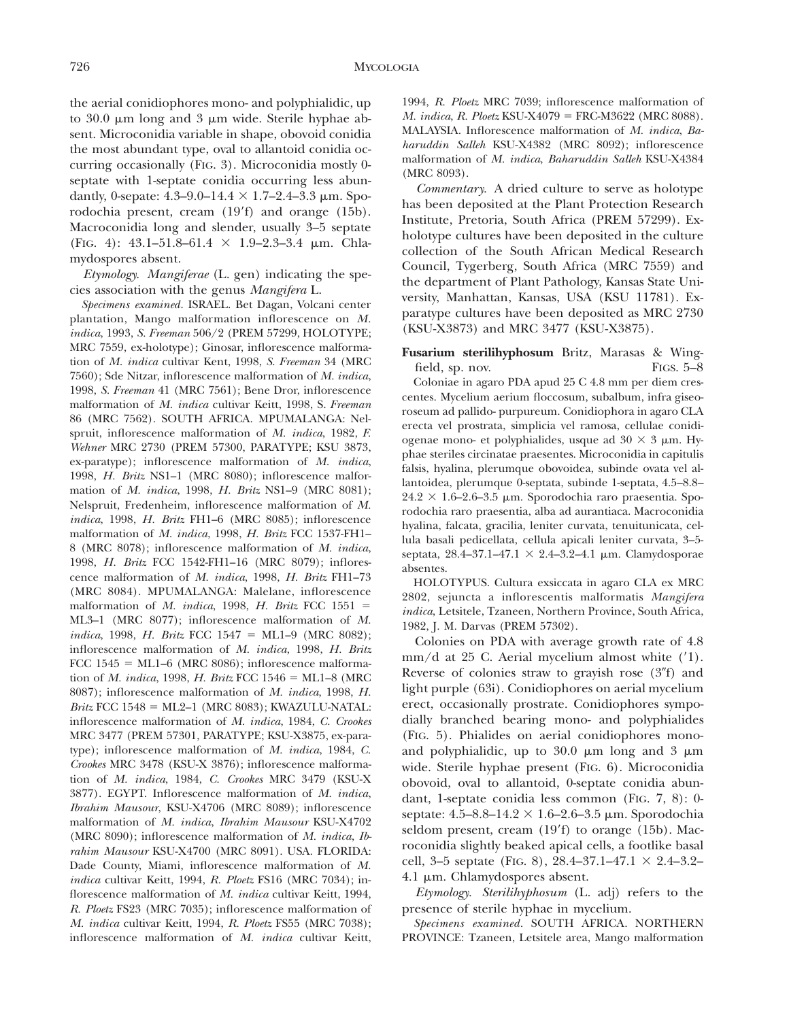the aerial conidiophores mono- and polyphialidic, up to  $30.0 \mu m$  long and  $3 \mu m$  wide. Sterile hyphae absent. Microconidia variable in shape, obovoid conidia the most abundant type, oval to allantoid conidia occurring occasionally (FIG. 3). Microconidia mostly 0 septate with 1-septate conidia occurring less abundantly, 0-sepate:  $4.3-9.0-14.4 \times 1.7-2.4-3.3 \mu m$ . Sporodochia present, cream (19'f) and orange (15b). Macroconidia long and slender, usually 3–5 septate (FIG. 4): 43.1-51.8-61.4  $\times$  1.9-2.3-3.4 µm. Chlamydospores absent.

*Etymology. Mangiferae* (L. gen) indicating the species association with the genus *Mangifera* L.

*Specimens examined.* ISRAEL. Bet Dagan, Volcani center plantation, Mango malformation inflorescence on *M. indica*, 1993, *S. Freeman* 506/2 (PREM 57299, HOLOTYPE; MRC 7559, ex-holotype); Ginosar, inflorescence malformation of *M. indica* cultivar Kent, 1998, *S. Freeman* 34 (MRC 7560); Sde Nitzar, inflorescence malformation of *M. indica*, 1998, *S. Freeman* 41 (MRC 7561); Bene Dror, inflorescence malformation of *M. indica* cultivar Keitt, 1998, S. *Freeman* 86 (MRC 7562). SOUTH AFRICA. MPUMALANGA: Nelspruit, inflorescence malformation of *M. indica*, 1982, *F. Wehner* MRC 2730 (PREM 57300, PARATYPE; KSU 3873, ex-paratype); inflorescence malformation of *M. indica*, 1998, *H. Britz* NS1–1 (MRC 8080); inflorescence malformation of *M. indica*, 1998, *H. Britz* NS1–9 (MRC 8081); Nelspruit, Fredenheim, inflorescence malformation of *M. indica*, 1998, *H. Britz* FH1–6 (MRC 8085); inflorescence malformation of *M. indica*, 1998, *H. Britz* FCC 1537-FH1– 8 (MRC 8078); inflorescence malformation of *M. indica*, 1998, *H. Britz* FCC 1542-FH1–16 (MRC 8079); inflorescence malformation of *M. indica*, 1998, *H. Britz* FH1–73 (MRC 8084). MPUMALANGA: Malelane, inflorescence malformation of *M. indica*, 1998, *H. Britz* FCC 1551 = ML3–1 (MRC 8077); inflorescence malformation of *M. indica*, 1998, *H. Britz* FCC 1547 = ML1–9 (MRC 8082); inflorescence malformation of *M. indica*, 1998, *H. Britz* FCC  $1545 = ML1-6$  (MRC 8086); inflorescence malformation of *M. indica*, 1998, *H. Britz* FCC 1546 = ML1-8 (MRC 8087); inflorescence malformation of *M. indica*, 1998, *H. Britz* FCC 1548 = ML2-1 (MRC 8083); KWAZULU-NATAL: inflorescence malformation of *M. indica*, 1984, *C. Crookes* MRC 3477 (PREM 57301, PARATY PE; KSU-X3875, ex-paratype); inflorescence malformation of *M. indica*, 1984, *C. Crookes* MRC 3478 (KSU-X 3876); inflorescence malformation of *M. indica*, 1984, *C. Crookes* MRC 3479 (KSU-X 3877). EGY PT. Inflorescence malformation of *M. indica*, *Ibrahim Mausour*, KSU-X4706 (MRC 8089); inflorescence malformation of *M. indica*, *Ibrahim Mausour* KSU-X4702 (MRC 8090); inflorescence malformation of *M. indica*, *Ibrahim Mausour* KSU-X4700 (MRC 8091). USA. FLORIDA: Dade County, Miami, inflorescence malformation of *M. indica* cultivar Keitt, 1994, *R. Ploetz* FS16 (MRC 7034); inflorescence malformation of *M. indica* cultivar Keitt, 1994, *R. Ploetz* FS23 (MRC 7035); inflorescence malformation of *M. indica* cultivar Keitt, 1994, *R. Ploetz* FS55 (MRC 7038); inflorescence malformation of *M. indica* cultivar Keitt,

1994, *R. Ploetz* MRC 7039; inflorescence malformation of *M. indica, R. Ploetz* KSU-X4079 = FRC-M3622 (MRC 8088). MALAYSIA. Inflorescence malformation of *M. indica*, *Baharuddin Salleh* KSU-X4382 (MRC 8092); inflorescence malformation of *M. indica*, *Baharuddin Salleh* KSU-X4384 (MRC 8093).

*Commentary.* A dried culture to serve as holotype has been deposited at the Plant Protection Research Institute, Pretoria, South Africa (PREM 57299). Exholotype cultures have been deposited in the culture collection of the South African Medical Research Council, Tygerberg, South Africa (MRC 7559) and the department of Plant Pathology, Kansas State University, Manhattan, Kansas, USA (KSU 11781). Exparatype cultures have been deposited as MRC 2730 (KSU-X3873) and MRC 3477 (KSU-X3875).

**Fusarium sterilihyphosum** Britz, Marasas & Wingfield, sp. nov. FIGS. 5–8

Coloniae in agaro PDA apud 25 C 4.8 mm per diem crescentes. Mycelium aerium floccosum, subalbum, infra giseoroseum ad pallido- purpureum. Conidiophora in agaro CLA erecta vel prostrata, simplicia vel ramosa, cellulae conidiogenae mono- et polyphialides, usque ad  $30 \times 3 \mu m$ . Hyphae steriles circinatae praesentes. Microconidia in capitulis falsis, hyalina, plerumque obovoidea, subinde ovata vel allantoidea, plerumque 0-septata, subinde 1-septata, 4.5–8.8–  $24.2 \times 1.6$ –2.6–3.5 µm. Sporodochia raro praesentia. Sporodochia raro praesentia, alba ad aurantiaca. Macroconidia hyalina, falcata, gracilia, leniter curvata, tenuitunicata, cellula basali pedicellata, cellula apicali leniter curvata, 3–5 septata, 28.4–37.1–47.1  $\times$  2.4–3.2–4.1 µm. Clamydosporae absentes.

HOLOTYPUS. Cultura exsiccata in agaro CLA ex MRC 2802, sejuncta a inflorescentis malformatis *Mangifera indica*, Letsitele, Tzaneen, Northern Province, South Africa, 1982, J. M. Darvas (PREM 57302).

Colonies on PDA with average growth rate of 4.8  $mm/d$  at 25 C. Aerial mycelium almost white  $('1)$ . Reverse of colonies straw to grayish rose  $(3<sup>''</sup>f)$  and light purple (63i). Conidiophores on aerial mycelium erect, occasionally prostrate. Conidiophores sympodially branched bearing mono- and polyphialides (FIG. 5). Phialides on aerial conidiophores monoand polyphialidic, up to  $30.0 \mu m$  long and  $3 \mu m$ wide. Sterile hyphae present (FIG. 6). Microconidia obovoid, oval to allantoid, 0-septate conidia abundant, 1-septate conidia less common (FIG. 7, 8): 0 septate:  $4.5 - 8.8 - 14.2 \times 1.6 - 2.6 - 3.5 \mu m$ . Sporodochia seldom present, cream  $(19'f)$  to orange  $(15b)$ . Macroconidia slightly beaked apical cells, a footlike basal cell, 3–5 septate (FIG. 8), 28.4–37.1–47.1  $\times$  2.4–3.2– 4.1 μm. Chlamydospores absent.

*Etymology. Sterilihyphosum* (L. adj) refers to the presence of sterile hyphae in mycelium.

*Specimens examined.* SOUTH AFRICA. NORTHERN PROVINCE: Tzaneen, Letsitele area, Mango malformation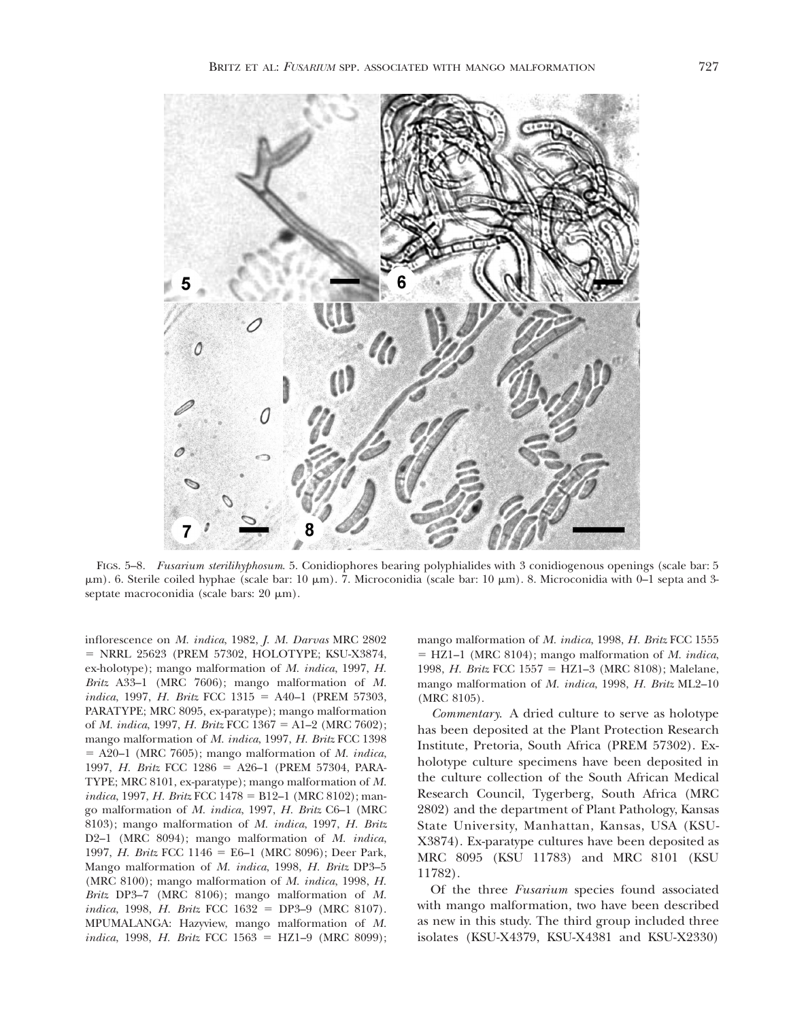

FIGS. 5–8. *Fusarium sterilihyphosum*. 5. Conidiophores bearing polyphialides with 3 conidiogenous openings (scale bar: 5  $\mu$ m). 6. Sterile coiled hyphae (scale bar: 10  $\mu$ m). 7. Microconidia (scale bar: 10  $\mu$ m). 8. Microconidia with 0–1 septa and 3septate macroconidia (scale bars:  $20 \mu m$ ).

inflorescence on *M. indica*, 1982, *J. M. Darvas* MRC 2802 = NRRL 25623 (PREM 57302, HOLOTYPE; KSU-X3874, ex-holotype); mango malformation of *M. indica*, 1997, *H. Britz* A33–1 (MRC 7606); mango malformation of *M. indica*, 1997, *H. Britz* FCC 1315 = A40–1 (PREM 57303, PARATYPE; MRC 8095, ex-paratype); mango malformation of *M. indica*, 1997, *H. Britz* FCC 1367 = A1–2 (MRC 7602); mango malformation of *M. indica*, 1997, *H. Britz* FCC 1398  $=$  A20–1 (MRC 7605); mango malformation of *M. indica*, 1997, *H. Britz* FCC 1286 = A26-1 (PREM 57304, PARA-TY PE; MRC 8101, ex-paratype); mango malformation of *M. indica*, 1997, *H. Britz* FCC 1478 = B12–1 (MRC 8102); mango malformation of *M. indica*, 1997, *H. Britz* C6–1 (MRC 8103); mango malformation of *M. indica*, 1997, *H. Britz* D2–1 (MRC 8094); mango malformation of *M. indica*, 1997, *H. Britz* FCC 1146 = E6–1 (MRC 8096); Deer Park, Mango malformation of *M. indica*, 1998, *H. Britz* DP3–5 (MRC 8100); mango malformation of *M. indica*, 1998, *H. Britz* DP3–7 (MRC 8106); mango malformation of *M. indica*, 1998, *H. Britz* FCC 1632 = DP3–9 (MRC 8107). MPUMALANGA: Hazyview, mango malformation of *M. indica*, 1998, *H. Britz* FCC 1563 = HZ1-9 (MRC 8099); mango malformation of *M. indica*, 1998, *H. Britz* FCC 1555 5 HZ1–1 (MRC 8104); mango malformation of *M. indica*, 1998, *H. Britz* FCC 1557 = HZ1–3 (MRC 8108); Malelane, mango malformation of *M. indica*, 1998, *H. Britz* ML2–10 (MRC 8105).

*Commentary.* A dried culture to serve as holotype has been deposited at the Plant Protection Research Institute, Pretoria, South Africa (PREM 57302). Exholotype culture specimens have been deposited in the culture collection of the South African Medical Research Council, Tygerberg, South Africa (MRC 2802) and the department of Plant Pathology, Kansas State University, Manhattan, Kansas, USA (KSU-X3874). Ex-paratype cultures have been deposited as MRC 8095 (KSU 11783) and MRC 8101 (KSU 11782).

Of the three *Fusarium* species found associated with mango malformation, two have been described as new in this study. The third group included three isolates (KSU-X4379, KSU-X4381 and KSU-X2330)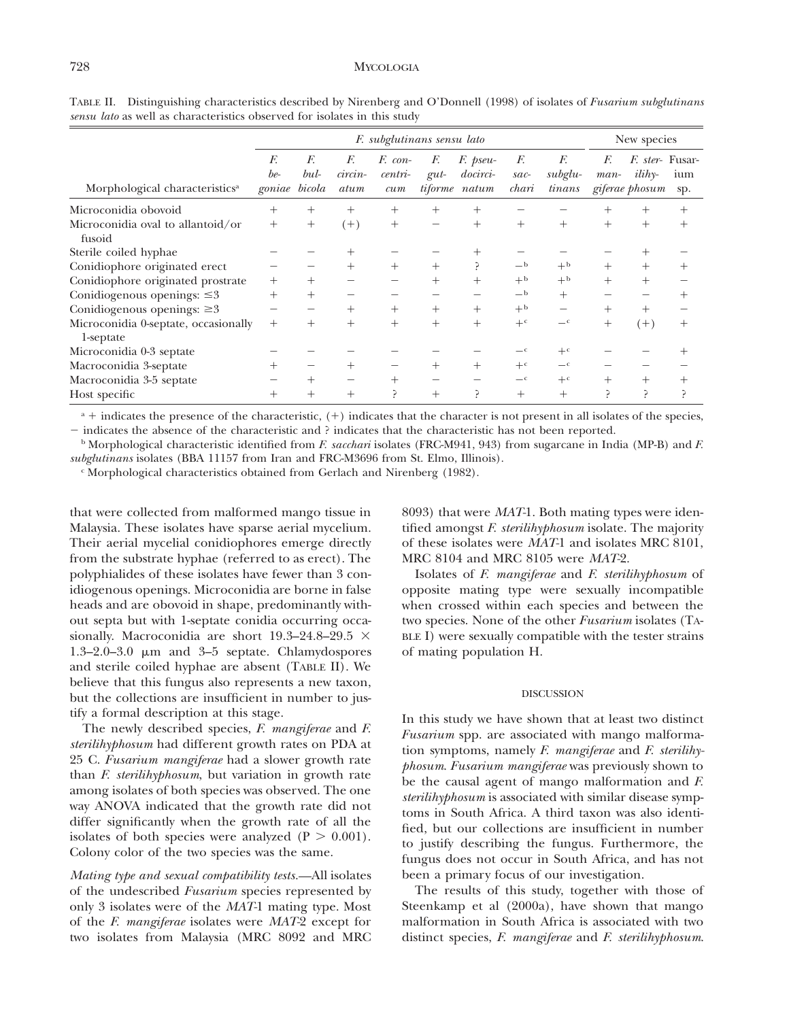|                                                   | F. subglutinans sensu lato |            |                       |                             |               |                                              |                       |                         | New species  |                                                              |            |
|---------------------------------------------------|----------------------------|------------|-----------------------|-----------------------------|---------------|----------------------------------------------|-----------------------|-------------------------|--------------|--------------------------------------------------------------|------------|
| Morphological characteristics <sup>a</sup>        | F.<br>be-<br>goniae bicola | F.<br>bul- | F.<br>circin-<br>atum | F. con-<br>$centri-$<br>cum | F.<br>$g$ ut- | F. pseu-<br><i>docirci-</i><br>tiforme natum | F.<br>$sac-$<br>chari | F.<br>subglu-<br>tinans | F.<br>$man-$ | <i>F. ster-</i> Fusar-<br>$i\ddot{li}h$ y-<br>giferae phosum | ium<br>sp. |
| Microconidia obovoid                              | $^+$                       | $^+$       | $^{+}$                | $^{+}$                      | $^+$          | $^+$                                         |                       |                         | $^+$         | $^{+}$                                                       | $^+$       |
| Microconidia oval to allantoid/or<br>fusoid       | $^{+}$                     | $^{+}$     | $(+)$                 | $^{+}$                      |               | $^{+}$                                       | $^{+}$                | $^{+}$                  | $+$          | $+$                                                          | $^+$       |
| Sterile coiled hyphae                             |                            |            | $\! +$                |                             |               |                                              |                       |                         |              |                                                              |            |
| Conidiophore originated erect                     |                            |            | $^{+}$                | $^{+}$                      | $^{+}$        |                                              | $-b$                  | $+$ <sub>b</sub>        | $^+$         | $^{+}$                                                       | $^+$       |
| Conidiophore originated prostrate                 | $^{+}$                     | $^+$       |                       |                             | $\pm$         | $^{+}$                                       | $+b$                  | $+$ <sub>b</sub>        | $^{+}$       | $^{+}$                                                       |            |
| Conidiogenous openings: $\leq 3$                  | $^{+}$                     | $^{+}$     |                       |                             |               |                                              | $-b$                  | $^{+}$                  |              |                                                              | $^+$       |
| Conidiogenous openings: $\geq 3$                  |                            |            | $^{+}$                | $^{+}$                      | $^{+}$        | $^+$                                         | $+^{\rm b}$           | —                       | $^{+}$       | $^{+}$                                                       |            |
| Microconidia 0-septate, occasionally<br>1-septate | $^{+}$                     | $^{+}$     | $^{+}$                | $^{+}$                      | $^{+}$        | $^{+}$                                       | $+c$                  | $-c$                    | $^{+}$       | $(+)$                                                        | $^+$       |
| Microconidia 0-3 septate                          |                            |            |                       |                             |               |                                              |                       | $+^c$                   |              |                                                              |            |
| Macroconidia 3-septate                            | $^+$                       |            | $^{+}$                |                             | $\pm$         | $^{+}$                                       | $+c$                  | $-c$                    |              |                                                              |            |
| Macroconidia 3-5 septate                          |                            | $^+$       |                       | $^{+}$                      |               |                                              | $-c$                  | $+^c$                   | $^{+}$       | $^{+}$                                                       | $^+$       |
| Host specific                                     | $^+$                       | $^+$       | $^{+}$                | ς                           | $^+$          | Ρ                                            | $^{+}$                | $^+$                    | ⊃            | ⊃                                                            | ⊃          |

TABLE II. Distinguishing characteristics described by Nirenberg and O'Donnell (1998) of isolates of *Fusarium subglutinans sensu lato* as well as characteristics observed for isolates in this study

 $a +$  indicates the presence of the characteristic,  $(+)$  indicates that the character is not present in all isolates of the species,

2 indicates the absence of the characteristic and ? indicates that the characteristic has not been reported.

<sup>b</sup> Morphological characteristic identified from *F. sacchari* isolates (FRC-M941, 943) from sugarcane in India (MP-B) and *F. subglutinans* isolates (BBA 11157 from Iran and FRC-M3696 from St. Elmo, Illinois).

 $\epsilon$  Morphological characteristics obtained from Gerlach and Nirenberg (1982).

that were collected from malformed mango tissue in Malaysia. These isolates have sparse aerial mycelium. Their aerial mycelial conidiophores emerge directly from the substrate hyphae (referred to as erect). The polyphialides of these isolates have fewer than 3 conidiogenous openings. Microconidia are borne in false heads and are obovoid in shape, predominantly without septa but with 1-septate conidia occurring occasionally. Macroconidia are short 19.3-24.8-29.5  $\times$  $1.3-2.0-3.0$   $\mu$ m and  $3-5$  septate. Chlamydospores and sterile coiled hyphae are absent (TABLE II). We believe that this fungus also represents a new taxon, but the collections are insufficient in number to justify a formal description at this stage.

The newly described species, *F. mangiferae* and *F. sterilihyphosum* had different growth rates on PDA at 25 C. *Fusarium mangiferae* had a slower growth rate than *F. sterilihyphosum*, but variation in growth rate among isolates of both species was observed. The one way ANOVA indicated that the growth rate did not differ significantly when the growth rate of all the isolates of both species were analyzed  $(P > 0.001)$ . Colony color of the two species was the same.

*Mating type and sexual compatibility tests.* All isolates of the undescribed *Fusarium* species represented by only 3 isolates were of the *MAT-*1 mating type. Most of the *F. mangiferae* isolates were *MAT-*2 except for two isolates from Malaysia (MRC 8092 and MRC

8093) that were *MAT-*1. Both mating types were identified amongst *F. sterilihyphosum* isolate. The majority of these isolates were *MAT-*1 and isolates MRC 8101, MRC 8104 and MRC 8105 were *MAT-*2.

Isolates of *F. mangiferae* and *F. sterilihyphosum* of opposite mating type were sexually incompatible when crossed within each species and between the two species. None of the other *Fusarium* isolates (TA-BLE I) were sexually compatible with the tester strains of mating population H.

## DISCUSSION

In this study we have shown that at least two distinct *Fusarium* spp. are associated with mango malformation symptoms, namely *F. mangiferae* and *F. sterilihyphosum*. *Fusarium mangiferae* was previously shown to be the causal agent of mango malformation and *F. sterilihyphosum* is associated with similar disease symptoms in South Africa. A third taxon was also identified, but our collections are insufficient in number to justify describing the fungus. Furthermore, the fungus does not occur in South Africa, and has not been a primary focus of our investigation.

The results of this study, together with those of Steenkamp et al (2000a), have shown that mango malformation in South Africa is associated with two distinct species, *F. mangiferae* and *F. sterilihyphosum*.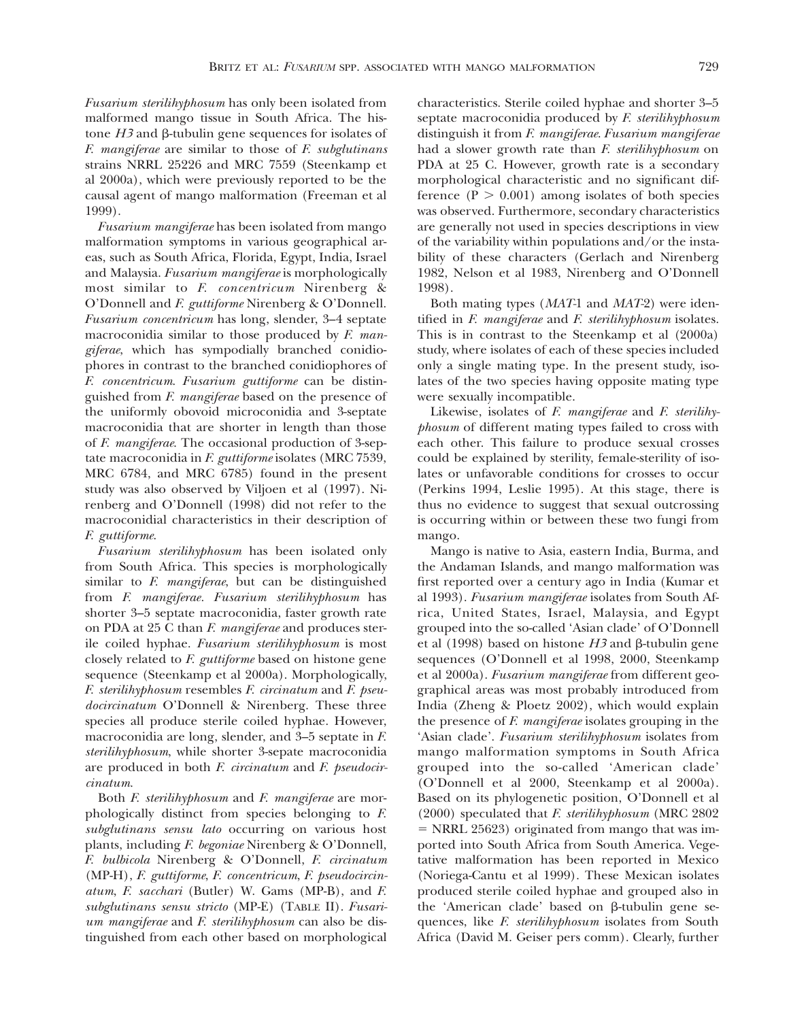*Fusarium sterilihyphosum* has only been isolated from malformed mango tissue in South Africa. The histone  $H3$  and  $\beta$ -tubulin gene sequences for isolates of *F. mangiferae* are similar to those of *F. subglutinans* strains NRRL 25226 and MRC 7559 (Steenkamp et al 2000a), which were previously reported to be the causal agent of mango malformation (Freeman et al 1999).

*Fusarium mangiferae* has been isolated from mango malformation symptoms in various geographical areas, such as South Africa, Florida, Egypt, India, Israel and Malaysia. *Fusarium mangiferae* is morphologically most similar to *F. concentricum* Nirenberg & O'Donnell and *F. guttiforme* Nirenberg & O'Donnell. *Fusarium concentricum* has long, slender, 3–4 septate macroconidia similar to those produced by *F. mangiferae*, which has sympodially branched conidiophores in contrast to the branched conidiophores of *F. concentricum*. *Fusarium guttiforme* can be distinguished from *F. mangiferae* based on the presence of the uniformly obovoid microconidia and 3-septate macroconidia that are shorter in length than those of *F. mangiferae*. The occasional production of 3-septate macroconidia in *F. guttiforme* isolates (MRC 7539, MRC 6784, and MRC 6785) found in the present study was also observed by Viljoen et al (1997). Nirenberg and O'Donnell (1998) did not refer to the macroconidial characteristics in their description of *F. guttiforme*.

*Fusarium sterilihyphosum* has been isolated only from South Africa. This species is morphologically similar to *F. mangiferae*, but can be distinguished from *F. mangiferae. Fusarium sterilihyphosum* has shorter 3–5 septate macroconidia, faster growth rate on PDA at 25 C than *F. mangiferae* and produces sterile coiled hyphae. *Fusarium sterilihyphosum* is most closely related to *F. guttiforme* based on histone gene sequence (Steenkamp et al 2000a). Morphologically, *F. sterilihyphosum* resembles *F. circinatum* and *F. pseudocircinatum* O'Donnell & Nirenberg. These three species all produce sterile coiled hyphae. However, macroconidia are long, slender, and 3–5 septate in *F. sterilihyphosum*, while shorter 3-sepate macroconidia are produced in both *F. circinatum* and *F. pseudocircinatum*.

Both *F. sterilihyphosum* and *F. mangiferae* are morphologically distinct from species belonging to *F. subglutinans sensu lato* occurring on various host plants, including *F. begoniae* Nirenberg & O'Donnell, *F. bulbicola* Nirenberg & O'Donnell, *F. circinatum* (MP-H), *F. guttiforme*, *F. concentricum*, *F. pseudocircinatum*, *F. sacchari* (Butler) W. Gams (MP-B), and *F. subglutinans sensu stricto* (MP-E) (TABLE II). *Fusarium mangiferae* and *F. sterilihyphosum* can also be distinguished from each other based on morphological characteristics. Sterile coiled hyphae and shorter 3–5 septate macroconidia produced by *F. sterilihyphosum* distinguish it from *F. mangiferae*. *Fusarium mangiferae* had a slower growth rate than *F. sterilihyphosum* on PDA at 25 C. However, growth rate is a secondary morphological characteristic and no significant difference ( $P > 0.001$ ) among isolates of both species was observed. Furthermore, secondary characteristics are generally not used in species descriptions in view of the variability within populations and/or the instability of these characters (Gerlach and Nirenberg 1982, Nelson et al 1983, Nirenberg and O'Donnell 1998).

Both mating types (*MAT-*1 and *MAT-*2) were identified in *F. mangiferae* and *F. sterilihyphosum* isolates. This is in contrast to the Steenkamp et al (2000a) study, where isolates of each of these species included only a single mating type. In the present study, isolates of the two species having opposite mating type were sexually incompatible.

Likewise, isolates of *F. mangiferae* and *F. sterilihyphosum* of different mating types failed to cross with each other. This failure to produce sexual crosses could be explained by sterility, female-sterility of isolates or unfavorable conditions for crosses to occur (Perkins 1994, Leslie 1995). At this stage, there is thus no evidence to suggest that sexual outcrossing is occurring within or between these two fungi from mango.

Mango is native to Asia, eastern India, Burma, and the Andaman Islands, and mango malformation was first reported over a century ago in India (Kumar et al 1993). *Fusarium mangiferae* isolates from South Africa, United States, Israel, Malaysia, and Egypt grouped into the so-called 'Asian clade' of O'Donnell et al (1998) based on histone  $H3$  and  $\beta$ -tubulin gene sequences (O'Donnell et al 1998, 2000, Steenkamp et al 2000a). *Fusarium mangiferae* from different geographical areas was most probably introduced from India (Zheng & Ploetz 2002), which would explain the presence of *F. mangiferae* isolates grouping in the 'Asian clade'. *Fusarium sterilihyphosum* isolates from mango malformation symptoms in South Africa grouped into the so-called 'American clade' (O'Donnell et al 2000, Steenkamp et al 2000a). Based on its phylogenetic position, O'Donnell et al (2000) speculated that *F. sterilihyphosum* (MRC 2802  $=$  NRRL 25623) originated from mango that was imported into South Africa from South America. Vegetative malformation has been reported in Mexico (Noriega-Cantu et al 1999). These Mexican isolates produced sterile coiled hyphae and grouped also in the 'American clade' based on  $\beta$ -tubulin gene sequences, like *F. sterilihyphosum* isolates from South Africa (David M. Geiser pers comm). Clearly, further